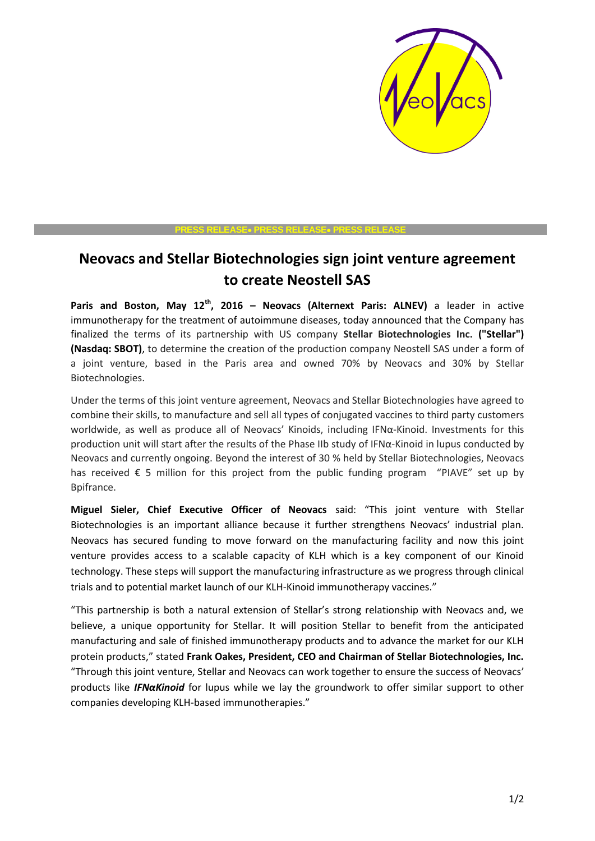

#### **PRESS RELEASE PRESS RELEASE PRESS RELEASE**

# **Neovacs and Stellar Biotechnologies sign joint venture agreement to create Neostell SAS**

**Paris and Boston, May 12th, 2016 – Neovacs (Alternext Paris: ALNEV)** a leader in active immunotherapy for the treatment of autoimmune diseases, today announced that the Company has finalized the terms of its partnership with US company **Stellar Biotechnologies Inc. ("Stellar") (Nasdaq: SBOT)**, to determine the creation of the production company Neostell SAS under a form of a joint venture, based in the Paris area and owned 70% by Neovacs and 30% by Stellar Biotechnologies.

Under the terms of this joint venture agreement, Neovacs and Stellar Biotechnologies have agreed to combine their skills, to manufacture and sell all types of conjugated vaccines to third party customers worldwide, as well as produce all of Neovacs' Kinoids, including IFNα-Kinoid. Investments for this production unit will start after the results of the Phase IIb study of IFNα-Kinoid in lupus conducted by Neovacs and currently ongoing. Beyond the interest of 30 % held by Stellar Biotechnologies, Neovacs has received € 5 million for this project from the public funding program "PIAVE" set up by Bpifrance.

**Miguel Sieler, Chief Executive Officer of Neovacs** said: "This joint venture with Stellar Biotechnologies is an important alliance because it further strengthens Neovacs' industrial plan. Neovacs has secured funding to move forward on the manufacturing facility and now this joint venture provides access to a scalable capacity of KLH which is a key component of our Kinoid technology. These steps will support the manufacturing infrastructure as we progress through clinical trials and to potential market launch of our KLH-Kinoid immunotherapy vaccines."

"This partnership is both a natural extension of Stellar's strong relationship with Neovacs and, we believe, a unique opportunity for Stellar. It will position Stellar to benefit from the anticipated manufacturing and sale of finished immunotherapy products and to advance the market for our KLH protein products," stated **Frank Oakes, President, CEO and Chairman of Stellar Biotechnologies, Inc.**  "Through this joint venture, Stellar and Neovacs can work together to ensure the success of Neovacs' products like *IFNαKinoid* for lupus while we lay the groundwork to offer similar support to other companies developing KLH-based immunotherapies."